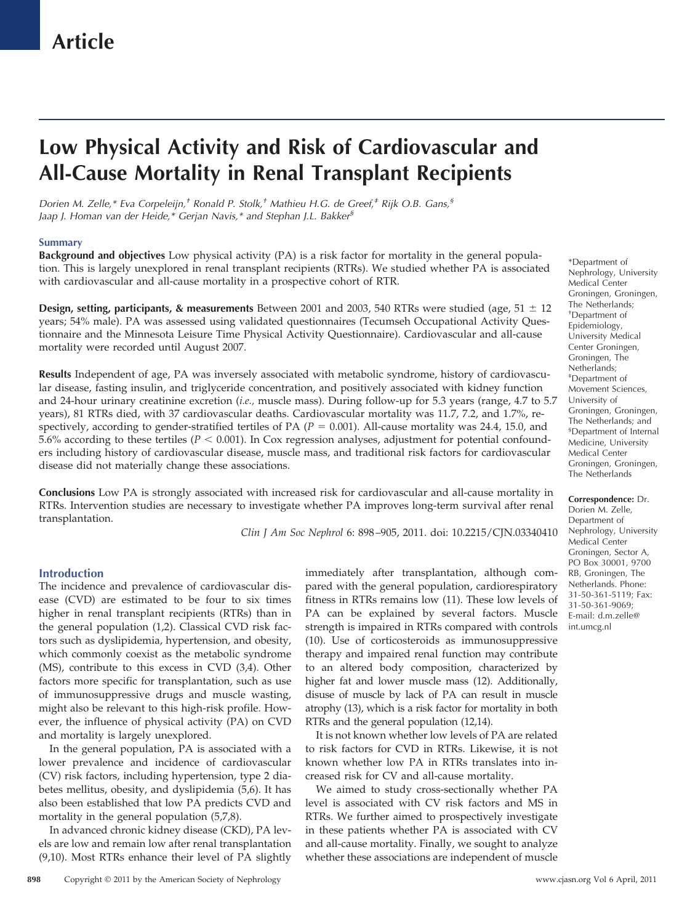# **Low Physical Activity and Risk of Cardiovascular and All-Cause Mortality in Renal Transplant Recipients**

*Dorien M. Zelle,\* Eva Corpeleijn,† Ronald P. Stolk,† Mathieu H.G. de Greef,‡ Rijk O.B. Gans,§ Jaap J. Homan van der Heide,\* Gerjan Navis,\* and Stephan J.L. Bakker§*

# **Summary**

**Background and objectives** Low physical activity (PA) is a risk factor for mortality in the general population. This is largely unexplored in renal transplant recipients (RTRs). We studied whether PA is associated with cardiovascular and all-cause mortality in a prospective cohort of RTR.

**Design, setting, participants, & measurements** Between 2001 and 2003, 540 RTRs were studied (age, 51  $\pm$  12) years; 54% male). PA was assessed using validated questionnaires (Tecumseh Occupational Activity Questionnaire and the Minnesota Leisure Time Physical Activity Questionnaire). Cardiovascular and all-cause mortality were recorded until August 2007.

**Results** Independent of age, PA was inversely associated with metabolic syndrome, history of cardiovascular disease, fasting insulin, and triglyceride concentration, and positively associated with kidney function and 24-hour urinary creatinine excretion (*i.e.,* muscle mass). During follow-up for 5.3 years (range, 4.7 to 5.7 years), 81 RTRs died, with 37 cardiovascular deaths. Cardiovascular mortality was 11.7, 7.2, and 1.7%, respectively, according to gender-stratified tertiles of  $PA$  ( $P = 0.001$ ). All-cause mortality was 24.4, 15.0, and 5.6% according to these tertiles ( $P < 0.001$ ). In Cox regression analyses, adjustment for potential confounders including history of cardiovascular disease, muscle mass, and traditional risk factors for cardiovascular disease did not materially change these associations.

**Conclusions** Low PA is strongly associated with increased risk for cardiovascular and all-cause mortality in RTRs. Intervention studies are necessary to investigate whether PA improves long-term survival after renal transplantation.

*Clin J Am Soc Nephrol* 6: 898 –905, 2011. doi: 10.2215/CJN.03340410

# **Introduction**

The incidence and prevalence of cardiovascular disease (CVD) are estimated to be four to six times higher in renal transplant recipients (RTRs) than in the general population (1,2). Classical CVD risk factors such as dyslipidemia, hypertension, and obesity, which commonly coexist as the metabolic syndrome (MS), contribute to this excess in CVD (3,4). Other factors more specific for transplantation, such as use of immunosuppressive drugs and muscle wasting, might also be relevant to this high-risk profile. However, the influence of physical activity (PA) on CVD and mortality is largely unexplored.

In the general population, PA is associated with a lower prevalence and incidence of cardiovascular (CV) risk factors, including hypertension, type 2 diabetes mellitus, obesity, and dyslipidemia (5,6). It has also been established that low PA predicts CVD and mortality in the general population (5,7,8).

In advanced chronic kidney disease (CKD), PA levels are low and remain low after renal transplantation (9,10). Most RTRs enhance their level of PA slightly immediately after transplantation, although compared with the general population, cardiorespiratory fitness in RTRs remains low (11). These low levels of PA can be explained by several factors. Muscle strength is impaired in RTRs compared with controls (10). Use of corticosteroids as immunosuppressive therapy and impaired renal function may contribute to an altered body composition, characterized by higher fat and lower muscle mass (12). Additionally, disuse of muscle by lack of PA can result in muscle atrophy (13), which is a risk factor for mortality in both RTRs and the general population (12,14).

It is not known whether low levels of PA are related to risk factors for CVD in RTRs. Likewise, it is not known whether low PA in RTRs translates into increased risk for CV and all-cause mortality.

We aimed to study cross-sectionally whether PA level is associated with CV risk factors and MS in RTRs. We further aimed to prospectively investigate in these patients whether PA is associated with CV and all-cause mortality. Finally, we sought to analyze whether these associations are independent of muscle

\*Department of Nephrology, University Medical Center Groningen, Groningen, The Netherlands; † Department of Epidemiology, University Medical Center Groningen, Groningen, The Netherlands; ‡ Department of Movement Sciences, University of Groningen, Groningen, The Netherlands; and § Department of Internal Medicine, University Medical Center Groningen, Groningen, The Netherlands

**Correspondence:** Dr. Dorien M. Zelle, Department of Nephrology, University Medical Center Groningen, Sector A, PO Box 30001, 9700 RB, Groningen, The Netherlands. Phone: 31-50-361-5119; Fax: 31-50-361-9069; E-mail: d.m.zelle@ int.umcg.nl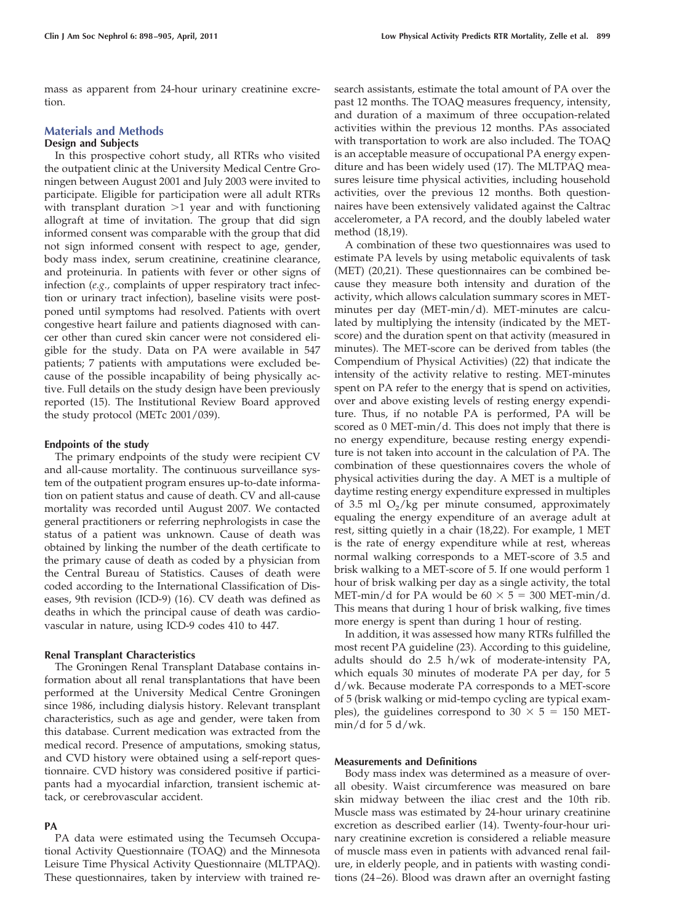mass as apparent from 24-hour urinary creatinine excretion.

## **Materials and Methods**

# **Design and Subjects**

In this prospective cohort study, all RTRs who visited the outpatient clinic at the University Medical Centre Groningen between August 2001 and July 2003 were invited to participate. Eligible for participation were all adult RTRs with transplant duration  $>1$  year and with functioning allograft at time of invitation. The group that did sign informed consent was comparable with the group that did not sign informed consent with respect to age, gender, body mass index, serum creatinine, creatinine clearance, and proteinuria. In patients with fever or other signs of infection (*e.g.,* complaints of upper respiratory tract infection or urinary tract infection), baseline visits were postponed until symptoms had resolved. Patients with overt congestive heart failure and patients diagnosed with cancer other than cured skin cancer were not considered eligible for the study. Data on PA were available in 547 patients; 7 patients with amputations were excluded because of the possible incapability of being physically active. Full details on the study design have been previously reported (15). The Institutional Review Board approved the study protocol (METc 2001/039).

#### **Endpoints of the study**

The primary endpoints of the study were recipient CV and all-cause mortality. The continuous surveillance system of the outpatient program ensures up-to-date information on patient status and cause of death. CV and all-cause mortality was recorded until August 2007. We contacted general practitioners or referring nephrologists in case the status of a patient was unknown. Cause of death was obtained by linking the number of the death certificate to the primary cause of death as coded by a physician from the Central Bureau of Statistics. Causes of death were coded according to the International Classification of Diseases, 9th revision (ICD-9) (16). CV death was defined as deaths in which the principal cause of death was cardiovascular in nature, using ICD-9 codes 410 to 447.

#### **Renal Transplant Characteristics**

The Groningen Renal Transplant Database contains information about all renal transplantations that have been performed at the University Medical Centre Groningen since 1986, including dialysis history. Relevant transplant characteristics, such as age and gender, were taken from this database. Current medication was extracted from the medical record. Presence of amputations, smoking status, and CVD history were obtained using a self-report questionnaire. CVD history was considered positive if participants had a myocardial infarction, transient ischemic attack, or cerebrovascular accident.

#### **PA**

PA data were estimated using the Tecumseh Occupational Activity Questionnaire (TOAQ) and the Minnesota Leisure Time Physical Activity Questionnaire (MLTPAQ). These questionnaires, taken by interview with trained research assistants, estimate the total amount of PA over the past 12 months. The TOAQ measures frequency, intensity, and duration of a maximum of three occupation-related activities within the previous 12 months. PAs associated with transportation to work are also included. The TOAQ is an acceptable measure of occupational PA energy expenditure and has been widely used (17). The MLTPAQ measures leisure time physical activities, including household activities, over the previous 12 months. Both questionnaires have been extensively validated against the Caltrac accelerometer, a PA record, and the doubly labeled water method (18,19).

A combination of these two questionnaires was used to estimate PA levels by using metabolic equivalents of task (MET) (20,21). These questionnaires can be combined because they measure both intensity and duration of the activity, which allows calculation summary scores in METminutes per day (MET-min/d). MET-minutes are calculated by multiplying the intensity (indicated by the METscore) and the duration spent on that activity (measured in minutes). The MET-score can be derived from tables (the Compendium of Physical Activities) (22) that indicate the intensity of the activity relative to resting. MET-minutes spent on PA refer to the energy that is spend on activities, over and above existing levels of resting energy expenditure. Thus, if no notable PA is performed, PA will be scored as 0 MET-min/d. This does not imply that there is no energy expenditure, because resting energy expenditure is not taken into account in the calculation of PA. The combination of these questionnaires covers the whole of physical activities during the day. A MET is a multiple of daytime resting energy expenditure expressed in multiples of 3.5 ml  $O_2$ /kg per minute consumed, approximately equaling the energy expenditure of an average adult at rest, sitting quietly in a chair (18,22). For example, 1 MET is the rate of energy expenditure while at rest, whereas normal walking corresponds to a MET-score of 3.5 and brisk walking to a MET-score of 5. If one would perform 1 hour of brisk walking per day as a single activity, the total MET-min/d for PA would be  $60 \times 5 = 300$  MET-min/d. This means that during 1 hour of brisk walking, five times more energy is spent than during 1 hour of resting.

In addition, it was assessed how many RTRs fulfilled the most recent PA guideline (23). According to this guideline, adults should do 2.5 h/wk of moderate-intensity PA, which equals 30 minutes of moderate PA per day, for 5 d/wk. Because moderate PA corresponds to a MET-score of 5 (brisk walking or mid-tempo cycling are typical examples), the guidelines correspond to  $30 \times 5 = 150$  METmin/d for 5 d/wk.

## **Measurements and Definitions**

Body mass index was determined as a measure of overall obesity. Waist circumference was measured on bare skin midway between the iliac crest and the 10th rib. Muscle mass was estimated by 24-hour urinary creatinine excretion as described earlier (14). Twenty-four-hour urinary creatinine excretion is considered a reliable measure of muscle mass even in patients with advanced renal failure, in elderly people, and in patients with wasting conditions (24 –26). Blood was drawn after an overnight fasting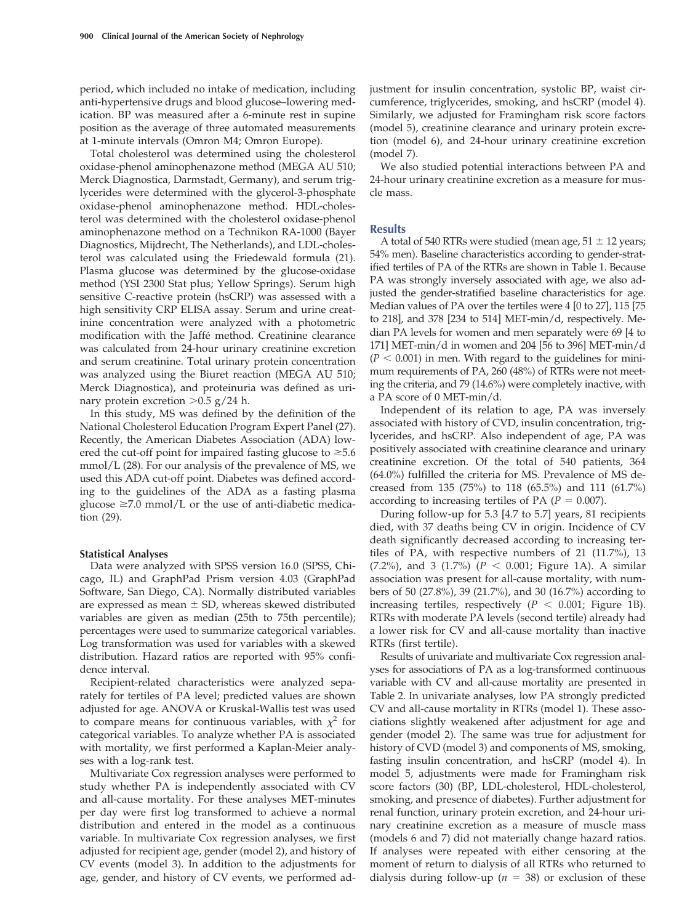period, which included no intake of medication, including anti-hypertensive drugs and blood glucose–lowering medication. BP was measured after a 6-minute rest in supine position as the average of three automated measurements at 1-minute intervals (Omron M4; Omron Europe).

Total cholesterol was determined using the cholesterol oxidase-phenol aminophenazone method (MEGA AU 510; Merck Diagnostica, Darmstadt, Germany), and serum triglycerides were determined with the glycerol-3-phosphate oxidase-phenol aminophenazone method. HDL-cholesterol was determined with the cholesterol oxidase-phenol aminophenazone method on a Technikon RA-1000 (Bayer Diagnostics, Mijdrecht, The Netherlands), and LDL-cholesterol was calculated using the Friedewald formula (21). Plasma glucose was determined by the glucose-oxidase method (YSI 2300 Stat plus; Yellow Springs). Serum high sensitive C-reactive protein (hsCRP) was assessed with a high sensitivity CRP ELISA assay. Serum and urine creatinine concentration were analyzed with a photometric modification with the Jaffe´ method. Creatinine clearance was calculated from 24-hour urinary creatinine excretion and serum creatinine. Total urinary protein concentration was analyzed using the Biuret reaction (MEGA AU 510; Merck Diagnostica), and proteinuria was defined as urinary protein excretion  $>0.5$  g/24 h.

In this study, MS was defined by the definition of the National Cholesterol Education Program Expert Panel (27). Recently, the American Diabetes Association (ADA) lowered the cut-off point for impaired fasting glucose to  $\geq 5.6$ mmol/L (28). For our analysis of the prevalence of MS, we used this ADA cut-off point. Diabetes was defined according to the guidelines of the ADA as a fasting plasma glucose  $\geq 7.0$  mmol/L or the use of anti-diabetic medication (29).

#### **Statistical Analyses**

Data were analyzed with SPSS version 16.0 (SPSS, Chicago, IL) and GraphPad Prism version 4.03 (GraphPad Software, San Diego, CA). Normally distributed variables are expressed as mean  $\pm$  SD, whereas skewed distributed variables are given as median (25th to 75th percentile); percentages were used to summarize categorical variables. Log transformation was used for variables with a skewed distribution. Hazard ratios are reported with 95% confidence interval.

Recipient-related characteristics were analyzed separately for tertiles of PA level; predicted values are shown adjusted for age. ANOVA or Kruskal-Wallis test was used to compare means for continuous variables, with  $\chi^2$  for categorical variables. To analyze whether PA is associated with mortality, we first performed a Kaplan-Meier analyses with a log-rank test.

Multivariate Cox regression analyses were performed to study whether PA is independently associated with CV and all-cause mortality. For these analyses MET-minutes per day were first log transformed to achieve a normal distribution and entered in the model as a continuous variable. In multivariate Cox regression analyses, we first adjusted for recipient age, gender (model 2), and history of CV events (model 3). In addition to the adjustments for age, gender, and history of CV events, we performed adjustment for insulin concentration, systolic BP, waist circumference, triglycerides, smoking, and hsCRP (model 4). Similarly, we adjusted for Framingham risk score factors (model 5), creatinine clearance and urinary protein excretion (model 6), and 24-hour urinary creatinine excretion (model 7).

We also studied potential interactions between PA and 24-hour urinary creatinine excretion as a measure for muscle mass.

# **Results**

A total of 540 RTRs were studied (mean age,  $51 \pm 12$  years; 54% men). Baseline characteristics according to gender-stratified tertiles of PA of the RTRs are shown in Table 1. Because PA was strongly inversely associated with age, we also adjusted the gender-stratified baseline characteristics for age. Median values of PA over the tertiles were 4 [0 to 27], 115 [75 to 218], and 378 [234 to 514] MET-min/d, respectively. Median PA levels for women and men separately were 69 [4 to 171] MET-min/d in women and 204 [56 to 396] MET-min/d  $(P < 0.001)$  in men. With regard to the guidelines for minimum requirements of PA, 260 (48%) of RTRs were not meeting the criteria, and 79 (14.6%) were completely inactive, with a PA score of 0 MET-min/d.

Independent of its relation to age, PA was inversely associated with history of CVD, insulin concentration, triglycerides, and hsCRP. Also independent of age, PA was positively associated with creatinine clearance and urinary creatinine excretion. Of the total of 540 patients, 364 (64.0%) fulfilled the criteria for MS. Prevalence of MS decreased from 135 (75%) to 118 (65.5%) and 111 (61.7%) according to increasing tertiles of  $PA$  ( $P = 0.007$ ).

During follow-up for 5.3 [4.7 to 5.7] years, 81 recipients died, with 37 deaths being CV in origin. Incidence of CV death significantly decreased according to increasing tertiles of PA, with respective numbers of 21 (11.7%), 13  $(7.2\%)$ , and 3  $(1.7\%)$  ( $P < 0.001$ ; Figure 1A). A similar association was present for all-cause mortality, with numbers of 50 (27.8%), 39 (21.7%), and 30 (16.7%) according to increasing tertiles, respectively  $(P < 0.001$ ; Figure 1B). RTRs with moderate PA levels (second tertile) already had a lower risk for CV and all-cause mortality than inactive RTRs (first tertile).

Results of univariate and multivariate Cox regression analyses for associations of PA as a log-transformed continuous variable with CV and all-cause mortality are presented in Table 2. In univariate analyses, low PA strongly predicted CV and all-cause mortality in RTRs (model 1). These associations slightly weakened after adjustment for age and gender (model 2). The same was true for adjustment for history of CVD (model 3) and components of MS, smoking, fasting insulin concentration, and hsCRP (model 4). In model 5, adjustments were made for Framingham risk score factors (30) (BP, LDL-cholesterol, HDL-cholesterol, smoking, and presence of diabetes). Further adjustment for renal function, urinary protein excretion, and 24-hour urinary creatinine excretion as a measure of muscle mass (models 6 and 7) did not materially change hazard ratios. If analyses were repeated with either censoring at the moment of return to dialysis of all RTRs who returned to dialysis during follow-up ( $n = 38$ ) or exclusion of these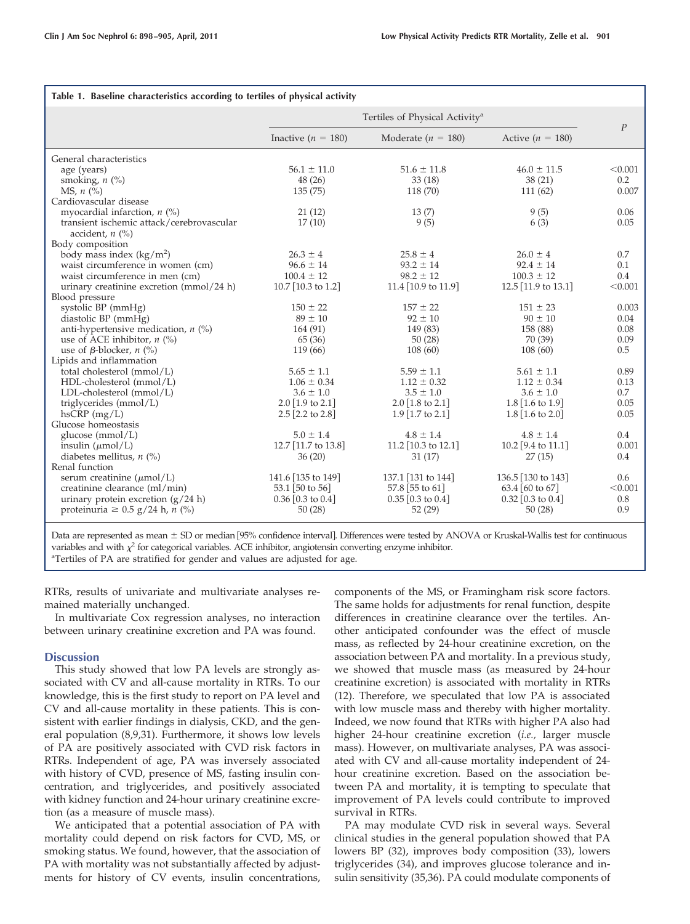| Table 1. Baseline characteristics according to tertiles of physical activity          |                                            |                                |                            |                  |  |  |
|---------------------------------------------------------------------------------------|--------------------------------------------|--------------------------------|----------------------------|------------------|--|--|
|                                                                                       | Tertiles of Physical Activity <sup>a</sup> |                                |                            |                  |  |  |
|                                                                                       | Inactive ( $n = 180$ )                     | Moderate ( $n = 180$ )         | Active $(n = 180)$         | $\boldsymbol{P}$ |  |  |
| General characteristics                                                               |                                            |                                |                            |                  |  |  |
| age (years)                                                                           | $56.1 \pm 11.0$                            | $51.6 \pm 11.8$                | $46.0 \pm 11.5$            | < 0.001          |  |  |
| smoking, $n$ $(\%)$                                                                   | 48(26)                                     | 33(18)                         | 38(21)                     | 0.2              |  |  |
| $MS, n (\%)$                                                                          | 135(75)                                    | 118 (70)                       | 111(62)                    | 0.007            |  |  |
| Cardiovascular disease                                                                |                                            |                                |                            |                  |  |  |
| myocardial infarction, $n$ (%)                                                        | 21(12)                                     | 13(7)                          | 9(5)                       | 0.06             |  |  |
| transient ischemic attack/cerebrovascular<br>accident, $n$ $\left(\frac{9}{0}\right)$ | 17(10)                                     | 9(5)                           | 6(3)                       | 0.05             |  |  |
| Body composition                                                                      |                                            |                                |                            |                  |  |  |
| body mass index $(kg/m2)$                                                             | $26.3 \pm 4$                               | $25.8 \pm 4$                   | $26.0 \pm 4$               | 0.7              |  |  |
| waist circumference in women (cm)                                                     | $96.6 \pm 14$                              | $93.2 \pm 14$                  | $92.4 \pm 14$              | 0.1              |  |  |
| waist circumference in men (cm)                                                       | $100.4 \pm 12$                             | $98.2 \pm 12$                  | $100.3 \pm 12$             | 0.4              |  |  |
| urinary creatinine excretion (mmol/24 h)                                              | 10.7 [10.3 to 1.2]                         | 11.4 $[10.9 \text{ to } 11.9]$ | 12.5 [11.9 to 13.1]        | < 0.001          |  |  |
| Blood pressure                                                                        |                                            |                                |                            |                  |  |  |
| systolic BP (mmHg)                                                                    | $150 \pm 22$                               | $157 \pm 22$                   | $151 \pm 23$               | 0.003            |  |  |
| diastolic BP (mmHg)                                                                   | $89 \pm 10$                                | $92 \pm 10$                    | $90 \pm 10$                | 0.04             |  |  |
| anti-hypertensive medication, $n$ (%)                                                 | 164(91)                                    | 149 (83)                       | 158 (88)                   | 0.08             |  |  |
| use of ACE inhibitor, $n$ (%)                                                         | 65(36)                                     | 50(28)                         | 70 (39)                    | 0.09             |  |  |
| use of $\beta$ -blocker, $n$ (%)                                                      | 119 (66)                                   | 108(60)                        | 108(60)                    | 0.5              |  |  |
| Lipids and inflammation                                                               |                                            |                                |                            |                  |  |  |
| total cholesterol (mmol/L)                                                            | $5.65 \pm 1.1$                             | $5.59 \pm 1.1$                 | $5.61 \pm 1.1$             | 0.89             |  |  |
| HDL-cholesterol (mmol/L)                                                              | $1.06 \pm 0.34$                            | $1.12 \pm 0.32$                | $1.12 \pm 0.34$            | 0.13             |  |  |
| LDL-cholesterol (mmol/L)                                                              | $3.6 \pm 1.0$                              | $3.5 \pm 1.0$                  | $3.6 \pm 1.0$              | $0.7\,$          |  |  |
| triglycerides (mmol/L)                                                                | $2.0$ [1.9 to 2.1]                         | $2.0$ [1.8 to 2.1]             | $1.8$ [1.6 to 1.9]         | 0.05             |  |  |
| $h$ sCRP $(mg/L)$                                                                     | 2.5 [2.2 to 2.8]                           | $1.9$ [1.7 to 2.1]             | $1.8$ [1.6 to 2.0]         | 0.05             |  |  |
| Glucose homeostasis                                                                   |                                            |                                |                            |                  |  |  |
| glucose (mmol/L)                                                                      | $5.0 \pm 1.4$                              | $4.8 \pm 1.4$                  | $4.8 \pm 1.4$              | 0.4              |  |  |
| insulin $(\mu \text{mol/L})$                                                          | 12.7 [11.7 to 13.8]                        | 11.2 $[10.3 \text{ to } 12.1]$ | 10.2 [9.4 to 11.1]         | 0.001            |  |  |
| diabetes mellitus, $n$ (%)                                                            | 36(20)                                     | 31(17)                         | 27(15)                     | 0.4              |  |  |
| Renal function                                                                        |                                            |                                |                            |                  |  |  |
| serum creatinine $(\mu \text{mol/L})$                                                 | 141.6 [135 to 149]                         | 137.1 [131 to 144]             | 136.5 [130 to 143]         | 0.6              |  |  |
| creatinine clearance (ml/min)                                                         | 53.1 [50 to 56]                            | 57.8 [55 to 61]                | 63.4 $[60 \text{ to } 67]$ | < 0.001          |  |  |
| urinary protein excretion $(g/24 h)$                                                  | $0.36$ [0.3 to 0.4]                        | $0.35$ [0.3 to 0.4]            | $0.32$ [0.3 to 0.4]        | 0.8              |  |  |
| proteinuria $\geq$ 0.5 g/24 h, n (%)                                                  | 50(28)                                     | 52(29)                         | 50(28)                     | 0.9              |  |  |
|                                                                                       |                                            |                                |                            |                  |  |  |

#### **Table 1. Baseline characteristics according to tertiles of physical activity**

Data are represented as mean  $\pm$  SD or median [95% confidence interval]. Differences were tested by ANOVA or Kruskal-Wallis test for continuous variables and with  $\chi^2$  for categorical variables. ACE inhibitor, angiotensin converting enzyme inhibitor. <sup>a</sup>Tertiles of PA are stratified for gender and values are adjusted for age.

RTRs, results of univariate and multivariate analyses remained materially unchanged.

In multivariate Cox regression analyses, no interaction between urinary creatinine excretion and PA was found.

## **Discussion**

This study showed that low PA levels are strongly associated with CV and all-cause mortality in RTRs. To our knowledge, this is the first study to report on PA level and CV and all-cause mortality in these patients. This is consistent with earlier findings in dialysis, CKD, and the general population (8,9,31). Furthermore, it shows low levels of PA are positively associated with CVD risk factors in RTRs. Independent of age, PA was inversely associated with history of CVD, presence of MS, fasting insulin concentration, and triglycerides, and positively associated with kidney function and 24-hour urinary creatinine excretion (as a measure of muscle mass).

We anticipated that a potential association of PA with mortality could depend on risk factors for CVD, MS, or smoking status. We found, however, that the association of PA with mortality was not substantially affected by adjustments for history of CV events, insulin concentrations,

components of the MS, or Framingham risk score factors. The same holds for adjustments for renal function, despite differences in creatinine clearance over the tertiles. Another anticipated confounder was the effect of muscle mass, as reflected by 24-hour creatinine excretion, on the association between PA and mortality. In a previous study, we showed that muscle mass (as measured by 24-hour creatinine excretion) is associated with mortality in RTRs (12). Therefore, we speculated that low PA is associated with low muscle mass and thereby with higher mortality. Indeed, we now found that RTRs with higher PA also had higher 24-hour creatinine excretion (*i.e.,* larger muscle mass). However, on multivariate analyses, PA was associated with CV and all-cause mortality independent of 24 hour creatinine excretion. Based on the association between PA and mortality, it is tempting to speculate that improvement of PA levels could contribute to improved survival in RTRs.

PA may modulate CVD risk in several ways. Several clinical studies in the general population showed that PA lowers BP (32), improves body composition (33), lowers triglycerides (34), and improves glucose tolerance and insulin sensitivity (35,36). PA could modulate components of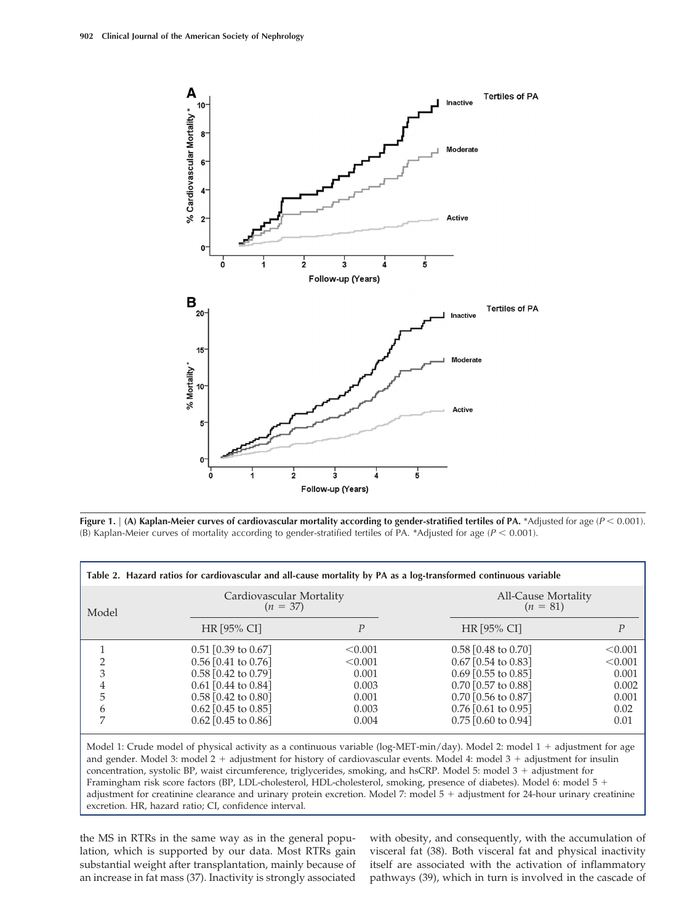

**Figure 1.** | **(A) Kaplan-Meier curves of cardiovascular mortality according to gender-stratified tertiles of PA.** \*Adjusted for age (*P* 0.001). (B) Kaplan-Meier curves of mortality according to gender-stratified tertiles of PA. \*Adjusted for age ( $P < 0.001$ ).

| Table 2. Hazard ratios for cardiovascular and all-cause mortality by PA as a log-transformed continuous variable |                       |                          |                       |                                          |  |  |  |
|------------------------------------------------------------------------------------------------------------------|-----------------------|--------------------------|-----------------------|------------------------------------------|--|--|--|
| Model                                                                                                            | $(n = 37)$            | Cardiovascular Mortality |                       | <b>All-Cause Mortality</b><br>$(n = 81)$ |  |  |  |
|                                                                                                                  | HR [95% CI]           |                          | HR [95% CI]           | Р                                        |  |  |  |
|                                                                                                                  | $0.51$ [0.39 to 0.67] | < 0.001                  | $0.58$ [0.48 to 0.70] | < 0.001                                  |  |  |  |
| ∍                                                                                                                | $0.56$ [0.41 to 0.76] | < 0.001                  | $0.67$ [0.54 to 0.83] | < 0.001                                  |  |  |  |
| 3                                                                                                                | $0.58$ [0.42 to 0.79] | 0.001                    | $0.69$ [0.55 to 0.85] | 0.001                                    |  |  |  |
| 4                                                                                                                | $0.61$ [0.44 to 0.84] | 0.003                    | $0.70$ [0.57 to 0.88] | 0.002                                    |  |  |  |
| 5                                                                                                                | $0.58$ [0.42 to 0.80] | 0.001                    | $0.70$ [0.56 to 0.87] | 0.001                                    |  |  |  |
| 6                                                                                                                | $0.62$ [0.45 to 0.85] | 0.003                    | $0.76$ [0.61 to 0.95] | 0.02                                     |  |  |  |
| 7                                                                                                                | $0.62$ [0.45 to 0.86] | 0.004                    | $0.75$ [0.60 to 0.94] | 0.01                                     |  |  |  |

Model 1: Crude model of physical activity as a continuous variable (log-MET-min/day). Model 2: model 1 + adjustment for age and gender. Model 3: model  $2 +$  adjustment for history of cardiovascular events. Model 4: model  $3 +$  adjustment for insulin concentration, systolic BP, waist circumference, triglycerides, smoking, and hsCRP. Model 5: model  $3 +$  adjustment for Framingham risk score factors (BP, LDL-cholesterol, HDL-cholesterol, smoking, presence of diabetes). Model 6: model 5 adjustment for creatinine clearance and urinary protein excretion. Model 7: model  $5 +$  adjustment for 24-hour urinary creatinine excretion. HR, hazard ratio; CI, confidence interval.

the MS in RTRs in the same way as in the general population, which is supported by our data. Most RTRs gain substantial weight after transplantation, mainly because of an increase in fat mass (37). Inactivity is strongly associated

with obesity, and consequently, with the accumulation of visceral fat (38). Both visceral fat and physical inactivity itself are associated with the activation of inflammatory pathways (39), which in turn is involved in the cascade of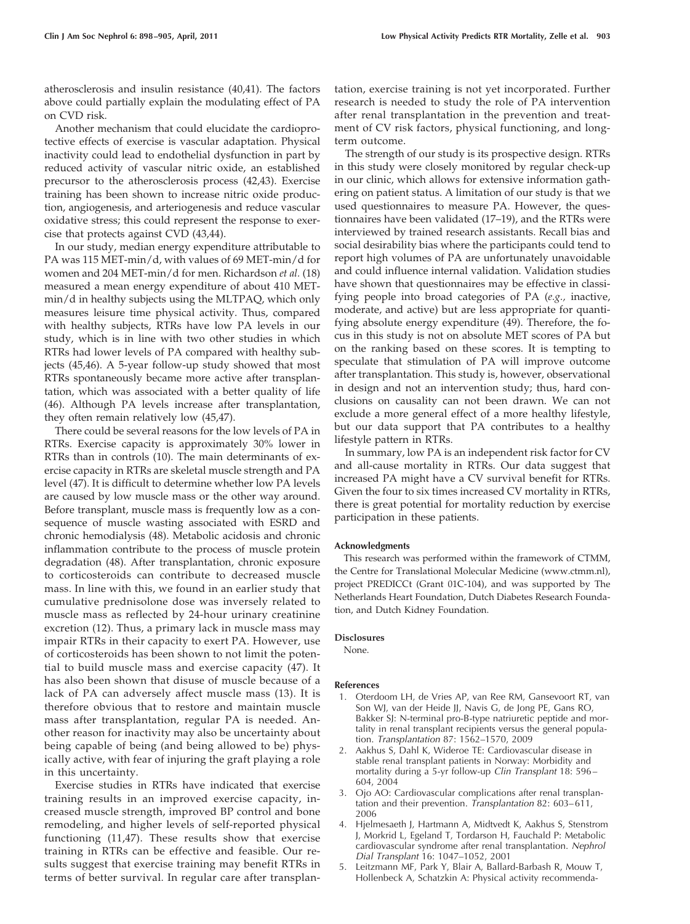atherosclerosis and insulin resistance (40,41). The factors above could partially explain the modulating effect of PA on CVD risk.

Another mechanism that could elucidate the cardioprotective effects of exercise is vascular adaptation. Physical inactivity could lead to endothelial dysfunction in part by reduced activity of vascular nitric oxide, an established precursor to the atherosclerosis process (42,43). Exercise training has been shown to increase nitric oxide production, angiogenesis, and arteriogenesis and reduce vascular oxidative stress; this could represent the response to exercise that protects against CVD (43,44).

In our study, median energy expenditure attributable to PA was 115 MET-min/d, with values of 69 MET-min/d for women and 204 MET-min/d for men. Richardson *et al.* (18) measured a mean energy expenditure of about 410 METmin/d in healthy subjects using the MLTPAQ, which only measures leisure time physical activity. Thus, compared with healthy subjects, RTRs have low PA levels in our study, which is in line with two other studies in which RTRs had lower levels of PA compared with healthy subjects (45,46). A 5-year follow-up study showed that most RTRs spontaneously became more active after transplantation, which was associated with a better quality of life (46). Although PA levels increase after transplantation, they often remain relatively low (45,47).

There could be several reasons for the low levels of PA in RTRs. Exercise capacity is approximately 30% lower in RTRs than in controls (10). The main determinants of exercise capacity in RTRs are skeletal muscle strength and PA level (47). It is difficult to determine whether low PA levels are caused by low muscle mass or the other way around. Before transplant, muscle mass is frequently low as a consequence of muscle wasting associated with ESRD and chronic hemodialysis (48). Metabolic acidosis and chronic inflammation contribute to the process of muscle protein degradation (48). After transplantation, chronic exposure to corticosteroids can contribute to decreased muscle mass. In line with this, we found in an earlier study that cumulative prednisolone dose was inversely related to muscle mass as reflected by 24-hour urinary creatinine excretion (12). Thus, a primary lack in muscle mass may impair RTRs in their capacity to exert PA. However, use of corticosteroids has been shown to not limit the potential to build muscle mass and exercise capacity (47). It has also been shown that disuse of muscle because of a lack of PA can adversely affect muscle mass (13). It is therefore obvious that to restore and maintain muscle mass after transplantation, regular PA is needed. Another reason for inactivity may also be uncertainty about being capable of being (and being allowed to be) physically active, with fear of injuring the graft playing a role in this uncertainty.

Exercise studies in RTRs have indicated that exercise training results in an improved exercise capacity, increased muscle strength, improved BP control and bone remodeling, and higher levels of self-reported physical functioning (11,47). These results show that exercise training in RTRs can be effective and feasible. Our results suggest that exercise training may benefit RTRs in terms of better survival. In regular care after transplan-

tation, exercise training is not yet incorporated. Further research is needed to study the role of PA intervention after renal transplantation in the prevention and treatment of CV risk factors, physical functioning, and longterm outcome.

The strength of our study is its prospective design. RTRs in this study were closely monitored by regular check-up in our clinic, which allows for extensive information gathering on patient status. A limitation of our study is that we used questionnaires to measure PA. However, the questionnaires have been validated (17–19), and the RTRs were interviewed by trained research assistants. Recall bias and social desirability bias where the participants could tend to report high volumes of PA are unfortunately unavoidable and could influence internal validation. Validation studies have shown that questionnaires may be effective in classifying people into broad categories of PA (*e.g.,* inactive, moderate, and active) but are less appropriate for quantifying absolute energy expenditure (49). Therefore, the focus in this study is not on absolute MET scores of PA but on the ranking based on these scores. It is tempting to speculate that stimulation of PA will improve outcome after transplantation. This study is, however, observational in design and not an intervention study; thus, hard conclusions on causality can not been drawn. We can not exclude a more general effect of a more healthy lifestyle, but our data support that PA contributes to a healthy lifestyle pattern in RTRs.

In summary, low PA is an independent risk factor for CV and all-cause mortality in RTRs. Our data suggest that increased PA might have a CV survival benefit for RTRs. Given the four to six times increased CV mortality in RTRs, there is great potential for mortality reduction by exercise participation in these patients.

#### **Acknowledgments**

This research was performed within the framework of CTMM, the Centre for Translational Molecular Medicine (www.ctmm.nl), project PREDICCt (Grant 01C-104), and was supported by The Netherlands Heart Foundation, Dutch Diabetes Research Foundation, and Dutch Kidney Foundation.

#### **Disclosures**

None.

#### **References**

- 1. Oterdoom LH, de Vries AP, van Ree RM, Gansevoort RT, van Son WJ, van der Heide JJ, Navis G, de Jong PE, Gans RO, Bakker SJ: N-terminal pro-B-type natriuretic peptide and mortality in renal transplant recipients versus the general population. *Transplantation* 87: 1562–1570, 2009
- 2. Aakhus S, Dahl K, Wideroe TE: Cardiovascular disease in stable renal transplant patients in Norway: Morbidity and mortality during a 5-yr follow-up *Clin Transplant* 18: 596 – 604, 2004
- 3. Ojo AO: Cardiovascular complications after renal transplantation and their prevention. *Transplantation* 82: 603– 611, 2006
- 4. Hjelmesaeth J, Hartmann A, Midtvedt K, Aakhus S, Stenstrom J, Morkrid L, Egeland T, Tordarson H, Fauchald P: Metabolic cardiovascular syndrome after renal transplantation. *Nephrol Dial Transplant* 16: 1047–1052, 2001
- 5. Leitzmann MF, Park Y, Blair A, Ballard-Barbash R, Mouw T, Hollenbeck A, Schatzkin A: Physical activity recommenda-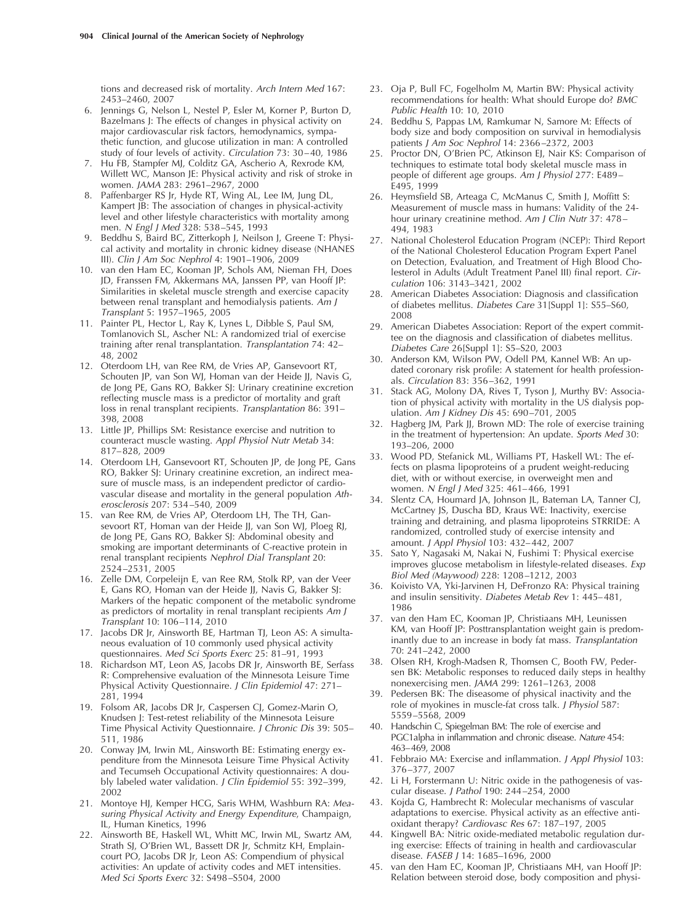tions and decreased risk of mortality. *Arch Intern Med* 167: 2453–2460, 2007

- 6. Jennings G, Nelson L, Nestel P, Esler M, Korner P, Burton D, Bazelmans J: The effects of changes in physical activity on major cardiovascular risk factors, hemodynamics, sympathetic function, and glucose utilization in man: A controlled study of four levels of activity. *Circulation* 73: 30 – 40, 1986
- 7. Hu FB, Stampfer MJ, Colditz GA, Ascherio A, Rexrode KM, Willett WC, Manson JE: Physical activity and risk of stroke in women. *JAMA* 283: 2961–2967, 2000
- 8. Paffenbarger RS Jr, Hyde RT, Wing AL, Lee IM, Jung DL, Kampert JB: The association of changes in physical-activity level and other lifestyle characteristics with mortality among men. *N Engl J Med* 328: 538 –545, 1993
- 9. Beddhu S, Baird BC, Zitterkoph J, Neilson J, Greene T: Physical activity and mortality in chronic kidney disease (NHANES III). *Clin J Am Soc Nephrol* 4: 1901–1906, 2009
- 10. van den Ham EC, Kooman JP, Schols AM, Nieman FH, Does JD, Franssen FM*,* Akkermans MA, Janssen PP, van Hooff JP: Similarities in skeletal muscle strength and exercise capacity between renal transplant and hemodialysis patients. *Am J Transplant* 5: 1957–1965, 2005
- 11. Painter PL, Hector L, Ray K, Lynes L, Dibble S, Paul SM, Tomlanovich SL, Ascher NL: A randomized trial of exercise training after renal transplantation. *Transplantation* 74: 42– 48, 2002
- 12. Oterdoom LH, van Ree RM, de Vries AP, Gansevoort RT, Schouten JP, van Son WJ, Homan van der Heide JJ, Navis G, de Jong PE, Gans RO, Bakker SJ: Urinary creatinine excretion reflecting muscle mass is a predictor of mortality and graft loss in renal transplant recipients. *Transplantation* 86: 391– 398, 2008
- 13. Little JP, Phillips SM: Resistance exercise and nutrition to counteract muscle wasting. *Appl Physiol Nutr Metab* 34: 817– 828, 2009
- 14. Oterdoom LH, Gansevoort RT, Schouten JP, de Jong PE, Gans RO, Bakker SJ: Urinary creatinine excretion, an indirect measure of muscle mass, is an independent predictor of cardiovascular disease and mortality in the general population *Atherosclerosis* 207: 534 –540, 2009
- 15. van Ree RM, de Vries AP, Oterdoom LH, The TH, Gansevoort RT, Homan van der Heide JJ, van Son WJ, Ploeg RJ, de Jong PE, Gans RO, Bakker SJ: Abdominal obesity and smoking are important determinants of C-reactive protein in renal transplant recipients *Nephrol Dial Transplant* 20: 2524 –2531, 2005
- 16. Zelle DM, Corpeleijn E, van Ree RM, Stolk RP, van der Veer E, Gans RO, Homan van der Heide JJ, Navis G, Bakker SJ: Markers of the hepatic component of the metabolic syndrome as predictors of mortality in renal transplant recipients *Am J Transplant* 10: 106 –114, 2010
- 17. Jacobs DR Jr, Ainsworth BE, Hartman TJ, Leon AS: A simultaneous evaluation of 10 commonly used physical activity questionnaires. *Med Sci Sports Exerc* 25: 81–91, 1993
- 18. Richardson MT, Leon AS, Jacobs DR Jr, Ainsworth BE, Serfass R: Comprehensive evaluation of the Minnesota Leisure Time Physical Activity Questionnaire. *J Clin Epidemiol* 47: 271– 281, 1994
- 19. Folsom AR, Jacobs DR Jr, Caspersen CJ, Gomez-Marin O, Knudsen J: Test-retest reliability of the Minnesota Leisure Time Physical Activity Questionnaire. *J Chronic Dis* 39: 505– 511, 1986
- 20. Conway JM, Irwin ML, Ainsworth BE: Estimating energy expenditure from the Minnesota Leisure Time Physical Activity and Tecumseh Occupational Activity questionnaires: A doubly labeled water validation. *J Clin Epidemiol* 55: 392–399, 2002
- 21. Montoye HJ, Kemper HCG, Saris WHM, Washburn RA: *Measuring Physical Activity and Energy Expenditure*, Champaign, IL, Human Kinetics, 1996
- 22. Ainsworth BE, Haskell WL, Whitt MC, Irwin ML, Swartz AM, Strath SJ, O'Brien WL, Bassett DR Jr, Schmitz KH, Emplaincourt PO, Jacobs DR Jr, Leon AS: Compendium of physical activities: An update of activity codes and MET intensities. *Med Sci Sports Exerc* 32: S498 –S504, 2000
- 23. Oja P, Bull FC, Fogelholm M, Martin BW: Physical activity recommendations for health: What should Europe do? *BMC Public Health* 10: 10, 2010
- 24. Beddhu S, Pappas LM, Ramkumar N, Samore M: Effects of body size and body composition on survival in hemodialysis patients *J Am Soc Nephrol* 14: 2366 –2372, 2003
- 25. Proctor DN, O'Brien PC, Atkinson EJ, Nair KS: Comparison of techniques to estimate total body skeletal muscle mass in people of different age groups. *Am J Physiol* 277: E489 – E495, 1999
- 26. Heymsfield SB, Arteaga C, McManus C, Smith J, Moffitt S: Measurement of muscle mass in humans: Validity of the 24 hour urinary creatinine method. *Am J Clin Nutr* 37: 478 – 494, 1983
- 27. National Cholesterol Education Program (NCEP): Third Report of the National Cholesterol Education Program Expert Panel on Detection, Evaluation, and Treatment of High Blood Cholesterol in Adults (Adult Treatment Panel III) final report. *Circulation* 106: 3143–3421, 2002
- 28. American Diabetes Association: Diagnosis and classification of diabetes mellitus. *Diabetes Care* 31[Suppl 1]: S55–S60, 2008
- 29. American Diabetes Association: Report of the expert committee on the diagnosis and classification of diabetes mellitus. *Diabetes Care* 26[Suppl 1]: S5–S20, 2003
- 30. Anderson KM, Wilson PW, Odell PM, Kannel WB: An updated coronary risk profile: A statement for health professionals. *Circulation* 83: 356 –362, 1991
- 31. Stack AG, Molony DA, Rives T, Tyson J, Murthy BV: Association of physical activity with mortality in the US dialysis population. *Am J Kidney Dis* 45: 690 –701, 2005
- 32. Hagberg JM, Park JJ, Brown MD: The role of exercise training in the treatment of hypertension: An update. *Sports Med* 30: 193–206, 2000
- 33. Wood PD, Stefanick ML, Williams PT, Haskell WL: The effects on plasma lipoproteins of a prudent weight-reducing diet, with or without exercise, in overweight men and women. *N Engl J Med* 325: 461– 466, 1991
- 34. Slentz CA, Houmard JA, Johnson JL, Bateman LA, Tanner CJ, McCartney JS, Duscha BD, Kraus WE: Inactivity, exercise training and detraining, and plasma lipoproteins STRRIDE: A randomized, controlled study of exercise intensity and amount. *J Appl Physiol* 103: 432– 442, 2007
- 35. Sato Y, Nagasaki M, Nakai N, Fushimi T: Physical exercise improves glucose metabolism in lifestyle-related diseases. *Exp Biol Med (Maywood)* 228: 1208 –1212, 2003
- 36. Koivisto VA, Yki-Jarvinen H, DeFronzo RA: Physical training and insulin sensitivity. *Diabetes Metab Rev* 1: 445– 481, 1986
- 37. van den Ham EC, Kooman JP, Christiaans MH, Leunissen KM, van Hooff JP: Posttransplantation weight gain is predominantly due to an increase in body fat mass. *Transplantation* 70: 241–242, 2000
- 38. Olsen RH, Krogh-Madsen R, Thomsen C, Booth FW, Pedersen BK: Metabolic responses to reduced daily steps in healthy nonexercising men. *JAMA* 299: 1261–1263, 2008
- 39. Pedersen BK: The diseasome of physical inactivity and the role of myokines in muscle-fat cross talk. *J Physiol* 587: 5559 –5568, 2009
- 40. Handschin C, Spiegelman BM: The role of exercise and PGC1alpha in inflammation and chronic disease. *Nature* 454: 463–469, 2008
- 41. Febbraio MA: Exercise and inflammation. *J Appl Physiol* 103: 376 –377, 2007
- 42. Li H, Forstermann U: Nitric oxide in the pathogenesis of vascular disease. *J Pathol* 190: 244 –254, 2000
- 43. Kojda G, Hambrecht R: Molecular mechanisms of vascular adaptations to exercise. Physical activity as an effective antioxidant therapy? *Cardiovasc Res* 67: 187–197, 2005
- 44. Kingwell BA: Nitric oxide-mediated metabolic regulation during exercise: Effects of training in health and cardiovascular disease. *FASEB J* 14: 1685–1696, 2000
- 45. van den Ham EC, Kooman JP, Christiaans MH, van Hooff JP: Relation between steroid dose, body composition and physi-